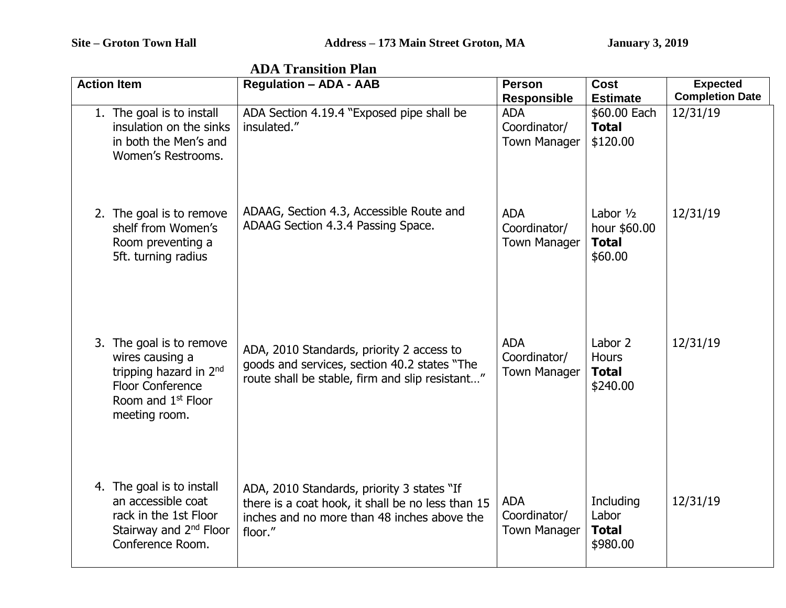| <b>ADA Transition Plan</b> |                                                                                                                                                     |                                                                                                                                                           |                                                   |                                                        |                                           |  |
|----------------------------|-----------------------------------------------------------------------------------------------------------------------------------------------------|-----------------------------------------------------------------------------------------------------------------------------------------------------------|---------------------------------------------------|--------------------------------------------------------|-------------------------------------------|--|
|                            | <b>Action Item</b>                                                                                                                                  | <b>Regulation - ADA - AAB</b>                                                                                                                             | <b>Person</b><br><b>Responsible</b>               | <b>Cost</b><br><b>Estimate</b>                         | <b>Expected</b><br><b>Completion Date</b> |  |
|                            | 1. The goal is to install<br>insulation on the sinks<br>in both the Men's and<br>Women's Restrooms.                                                 | ADA Section 4.19.4 "Exposed pipe shall be<br>insulated."                                                                                                  | <b>ADA</b><br>Coordinator/<br><b>Town Manager</b> | \$60.00 Each<br><b>Total</b><br>\$120.00               | 12/31/19                                  |  |
|                            | 2. The goal is to remove<br>shelf from Women's<br>Room preventing a<br>5ft. turning radius                                                          | ADAAG, Section 4.3, Accessible Route and<br>ADAAG Section 4.3.4 Passing Space.                                                                            | <b>ADA</b><br>Coordinator/<br><b>Town Manager</b> | Labor $1/2$<br>hour \$60.00<br><b>Total</b><br>\$60.00 | 12/31/19                                  |  |
|                            | 3. The goal is to remove<br>wires causing a<br>tripping hazard in 2nd<br><b>Floor Conference</b><br>Room and 1 <sup>st</sup> Floor<br>meeting room. | ADA, 2010 Standards, priority 2 access to<br>goods and services, section 40.2 states "The<br>route shall be stable, firm and slip resistant"              | <b>ADA</b><br>Coordinator/<br><b>Town Manager</b> | Labor 2<br><b>Hours</b><br><b>Total</b><br>\$240.00    | 12/31/19                                  |  |
|                            | 4. The goal is to install<br>an accessible coat<br>rack in the 1st Floor<br>Stairway and 2 <sup>nd</sup> Floor<br>Conference Room.                  | ADA, 2010 Standards, priority 3 states "If<br>there is a coat hook, it shall be no less than 15<br>inches and no more than 48 inches above the<br>floor." | <b>ADA</b><br>Coordinator/<br>Town Manager        | Including<br>Labor<br><b>Total</b><br>\$980.00         | 12/31/19                                  |  |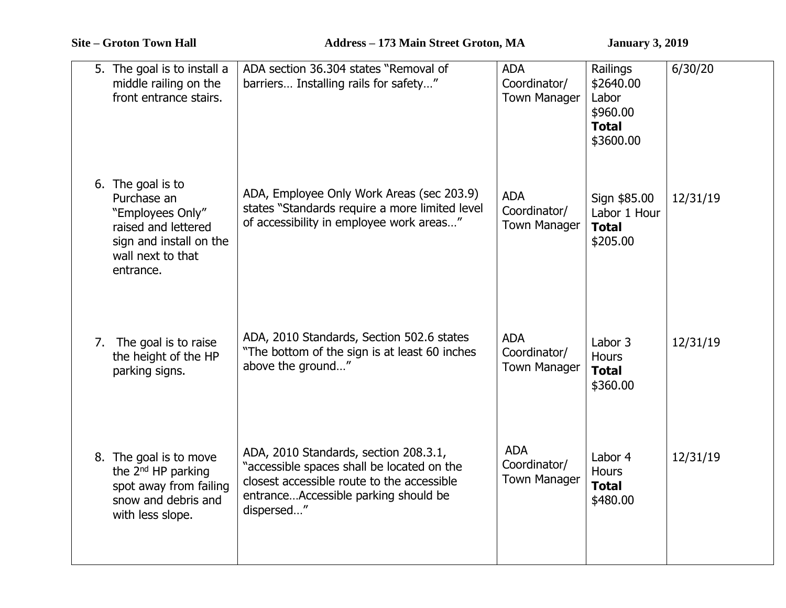|  | 5. The goal is to install a<br>middle railing on the<br>front entrance stairs.                                                           | ADA section 36.304 states "Removal of<br>barriers Installing rails for safety"                                                                                                          | <b>ADA</b><br>Coordinator/<br><b>Town Manager</b> | Railings<br>\$2640.00<br>Labor<br>\$960.00<br><b>Total</b><br>\$3600.00 | 6/30/20  |
|--|------------------------------------------------------------------------------------------------------------------------------------------|-----------------------------------------------------------------------------------------------------------------------------------------------------------------------------------------|---------------------------------------------------|-------------------------------------------------------------------------|----------|
|  | 6. The goal is to<br>Purchase an<br>"Employees Only"<br>raised and lettered<br>sign and install on the<br>wall next to that<br>entrance. | ADA, Employee Only Work Areas (sec 203.9)<br>states "Standards require a more limited level<br>of accessibility in employee work areas"                                                 | <b>ADA</b><br>Coordinator/<br><b>Town Manager</b> | Sign \$85.00<br>Labor 1 Hour<br><b>Total</b><br>\$205.00                | 12/31/19 |
|  | 7. The goal is to raise<br>the height of the HP<br>parking signs.                                                                        | ADA, 2010 Standards, Section 502.6 states<br>"The bottom of the sign is at least 60 inches<br>above the ground"                                                                         | <b>ADA</b><br>Coordinator/<br><b>Town Manager</b> | Labor 3<br><b>Hours</b><br><b>Total</b><br>\$360.00                     | 12/31/19 |
|  | 8. The goal is to move<br>the 2 <sup>nd</sup> HP parking<br>spot away from failing<br>snow and debris and<br>with less slope.            | ADA, 2010 Standards, section 208.3.1,<br>"accessible spaces shall be located on the<br>closest accessible route to the accessible<br>entranceAccessible parking should be<br>dispersed" | <b>ADA</b><br>Coordinator/<br><b>Town Manager</b> | Labor 4<br><b>Hours</b><br><b>Total</b><br>\$480.00                     | 12/31/19 |
|  |                                                                                                                                          |                                                                                                                                                                                         |                                                   |                                                                         |          |